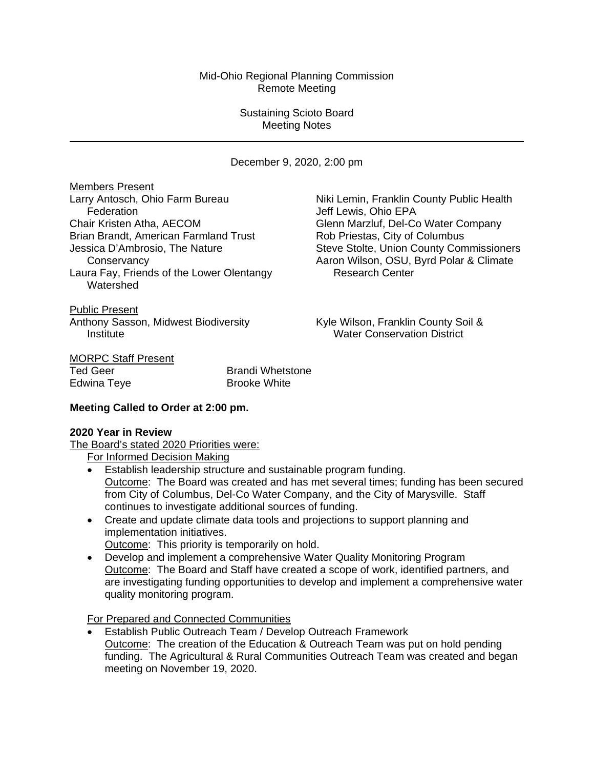## Mid-Ohio Regional Planning Commission Remote Meeting

## Sustaining Scioto Board Meeting Notes

December 9, 2020, 2:00 pm

**Members Present**<br>Larry Antosch, Ohio Farm Bureau Federation **Federation Jeff Lewis, Ohio EPA** Chair Kristen Atha, AECOM<br>
Brian Brandt, American Farmland Trust<br>
Glenn Marzluf, Del-Co Water Company<br>
Rob Priestas, City of Columbus Brian Brandt, American Farmland Trust Laura Fay, Friends of the Lower Olentangy Watershed

Niki Lemin, Franklin County Public Health Jessica D'Ambrosio, The Nature Steve Stolte, Union County Commissioners Conservancy<br>
Frace Conservancy Maron Wilson, OSU, Byrd Polar & Climate<br>
Research Center<br>
Research Center

Public Present Anthony Sasson, Midwest Biodiversity Kyle Wilson, Franklin County Soil & Institute Water Conservation District

# **MORPC Staff Present**<br>Ted Geer

**Brandi Whetstone** Edwina Teye **Brooke White** 

# **Meeting Called to Order at 2:00 pm.**

# **2020 Year in Review**

The Board's stated 2020 Priorities were:

For Informed Decision Making

- Establish leadership structure and sustainable program funding. Outcome: The Board was created and has met several times; funding has been secured from City of Columbus, Del-Co Water Company, and the City of Marysville. Staff continues to investigate additional sources of funding.
- Create and update climate data tools and projections to support planning and implementation initiatives.
	- Outcome: This priority is temporarily on hold.
- Develop and implement a comprehensive Water Quality Monitoring Program Outcome: The Board and Staff have created a scope of work, identified partners, and are investigating funding opportunities to develop and implement a comprehensive water quality monitoring program.

For Prepared and Connected Communities

• Establish Public Outreach Team / Develop Outreach Framework Outcome: The creation of the Education & Outreach Team was put on hold pending funding. The Agricultural & Rural Communities Outreach Team was created and began meeting on November 19, 2020.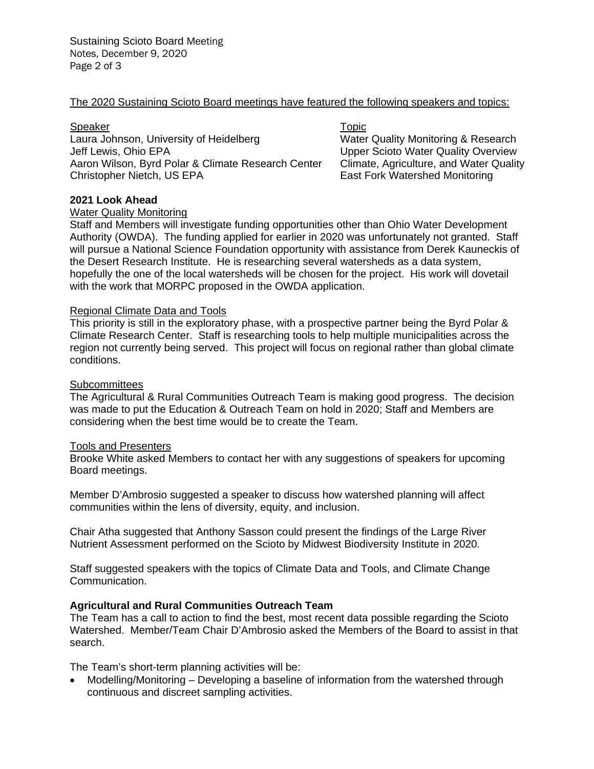#### The 2020 Sustaining Scioto Board meetings have featured the following speakers and topics:

#### Speaker Topic Speaker

Laura Johnson, University of Heidelberg Water Quality Monitoring & Research Jeff Lewis, Ohio EPA<br>Aaron Wilson, Byrd Polar & Climate Research Center Climate, Agriculture, and Water Quality Aaron Wilson, Byrd Polar & Climate Research Center Christopher Nietch, US EPA

East Fork Watershed Monitoring

#### **2021 Look Ahead**

#### Water Quality Monitoring

Staff and Members will investigate funding opportunities other than Ohio Water Development Authority (OWDA). The funding applied for earlier in 2020 was unfortunately not granted. Staff will pursue a National Science Foundation opportunity with assistance from Derek Kauneckis of the Desert Research Institute. He is researching several watersheds as a data system, hopefully the one of the local watersheds will be chosen for the project. His work will dovetail with the work that MORPC proposed in the OWDA application.

#### Regional Climate Data and Tools

This priority is still in the exploratory phase, with a prospective partner being the Byrd Polar & Climate Research Center. Staff is researching tools to help multiple municipalities across the region not currently being served. This project will focus on regional rather than global climate conditions.

#### **Subcommittees**

The Agricultural & Rural Communities Outreach Team is making good progress. The decision was made to put the Education & Outreach Team on hold in 2020; Staff and Members are considering when the best time would be to create the Team.

#### Tools and Presenters

Brooke White asked Members to contact her with any suggestions of speakers for upcoming Board meetings.

Member D'Ambrosio suggested a speaker to discuss how watershed planning will affect communities within the lens of diversity, equity, and inclusion.

Chair Atha suggested that Anthony Sasson could present the findings of the Large River Nutrient Assessment performed on the Scioto by Midwest Biodiversity Institute in 2020.

Staff suggested speakers with the topics of Climate Data and Tools, and Climate Change Communication.

#### **Agricultural and Rural Communities Outreach Team**

The Team has a call to action to find the best, most recent data possible regarding the Scioto Watershed. Member/Team Chair D'Ambrosio asked the Members of the Board to assist in that search.

The Team's short-term planning activities will be:

• Modelling/Monitoring – Developing a baseline of information from the watershed through continuous and discreet sampling activities.